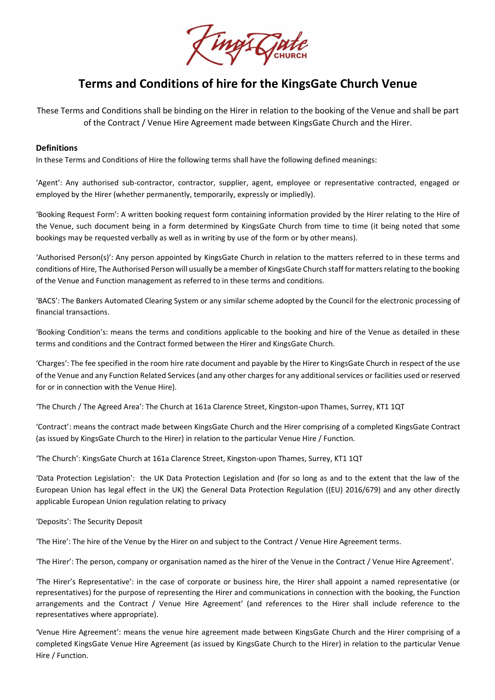

# **Terms and Conditions of hire for the KingsGate Church Venue**

These Terms and Conditions shall be binding on the Hirer in relation to the booking of the Venue and shall be part of the Contract / Venue Hire Agreement made between KingsGate Church and the Hirer.

#### **Definitions**

In these Terms and Conditions of Hire the following terms shall have the following defined meanings:

'Agent': Any authorised sub-contractor, contractor, supplier, agent, employee or representative contracted, engaged or employed by the Hirer (whether permanently, temporarily, expressly or impliedly).

'Booking Request Form': A written booking request form containing information provided by the Hirer relating to the Hire of the Venue, such document being in a form determined by KingsGate Church from time to time (it being noted that some bookings may be requested verbally as well as in writing by use of the form or by other means).

'Authorised Person(s)': Any person appointed by KingsGate Church in relation to the matters referred to in these terms and conditions of Hire, The Authorised Person will usually be a member of KingsGate Church staff for matters relating to the booking of the Venue and Function management as referred to in these terms and conditions.

'BACS': The Bankers Automated Clearing System or any similar scheme adopted by the Council for the electronic processing of financial transactions.

'Booking Condition's: means the terms and conditions applicable to the booking and hire of the Venue as detailed in these terms and conditions and the Contract formed between the Hirer and KingsGate Church.

'Charges': The fee specified in the room hire rate document and payable by the Hirer to KingsGate Church in respect of the use of the Venue and any Function Related Services (and any other charges for any additional services or facilities used or reserved for or in connection with the Venue Hire).

'The Church / The Agreed Area': The Church at 161a Clarence Street, Kingston-upon Thames, Surrey, KT1 1QT

'Contract': means the contract made between KingsGate Church and the Hirer comprising of a completed KingsGate Contract (as issued by KingsGate Church to the Hirer) in relation to the particular Venue Hire / Function.

'The Church': KingsGate Church at 161a Clarence Street, Kingston-upon Thames, Surrey, KT1 1QT

'Data Protection Legislation': the UK Data Protection Legislation and (for so long as and to the extent that the law of the European Union has legal effect in the UK) the General Data Protection Regulation ((EU) 2016/679) and any other directly applicable European Union regulation relating to privacy

'Deposits': The Security Deposit

'The Hire': The hire of the Venue by the Hirer on and subject to the Contract / Venue Hire Agreement terms.

'The Hirer': The person, company or organisation named as the hirer of the Venue in the Contract / Venue Hire Agreement'.

'The Hirer's Representative': in the case of corporate or business hire, the Hirer shall appoint a named representative (or representatives) for the purpose of representing the Hirer and communications in connection with the booking, the Function arrangements and the Contract / Venue Hire Agreement' (and references to the Hirer shall include reference to the representatives where appropriate).

'Venue Hire Agreement': means the venue hire agreement made between KingsGate Church and the Hirer comprising of a completed KingsGate Venue Hire Agreement (as issued by KingsGate Church to the Hirer) in relation to the particular Venue Hire / Function.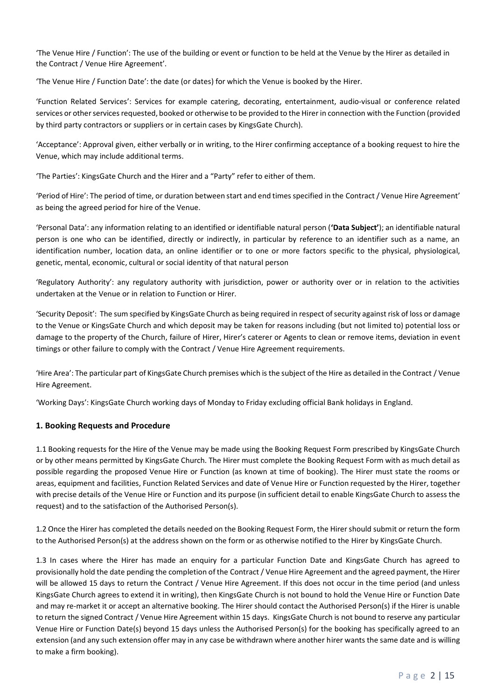'The Venue Hire / Function': The use of the building or event or function to be held at the Venue by the Hirer as detailed in the Contract / Venue Hire Agreement'.

'The Venue Hire / Function Date': the date (or dates) for which the Venue is booked by the Hirer.

'Function Related Services': Services for example catering, decorating, entertainment, audio-visual or conference related services or other services requested, booked or otherwise to be provided to the Hirer in connection with the Function (provided by third party contractors or suppliers or in certain cases by KingsGate Church).

'Acceptance': Approval given, either verbally or in writing, to the Hirer confirming acceptance of a booking request to hire the Venue, which may include additional terms.

'The Parties': KingsGate Church and the Hirer and a "Party" refer to either of them.

'Period of Hire': The period of time, or duration between start and end times specified in the Contract/ Venue Hire Agreement' as being the agreed period for hire of the Venue.

'Personal Data': any information relating to an identified or identifiable natural person (**'Data Subject'**); an identifiable natural person is one who can be identified, directly or indirectly, in particular by reference to an identifier such as a name, an identification number, location data, an online identifier or to one or more factors specific to the physical, physiological, genetic, mental, economic, cultural or social identity of that natural person

'Regulatory Authority': any regulatory authority with jurisdiction, power or authority over or in relation to the activities undertaken at the Venue or in relation to Function or Hirer.

'Security Deposit': The sum specified by KingsGate Church as being required in respect of security against risk of loss or damage to the Venue or KingsGate Church and which deposit may be taken for reasons including (but not limited to) potential loss or damage to the property of the Church, failure of Hirer, Hirer's caterer or Agents to clean or remove items, deviation in event timings or other failure to comply with the Contract / Venue Hire Agreement requirements.

'Hire Area': The particular part of KingsGate Church premises which is the subject of the Hire as detailed in the Contract / Venue Hire Agreement.

'Working Days': KingsGate Church working days of Monday to Friday excluding official Bank holidays in England.

## **1. Booking Requests and Procedure**

1.1 Booking requests for the Hire of the Venue may be made using the Booking Request Form prescribed by KingsGate Church or by other means permitted by KingsGate Church. The Hirer must complete the Booking Request Form with as much detail as possible regarding the proposed Venue Hire or Function (as known at time of booking). The Hirer must state the rooms or areas, equipment and facilities, Function Related Services and date of Venue Hire or Function requested by the Hirer, together with precise details of the Venue Hire or Function and its purpose (in sufficient detail to enable KingsGate Church to assess the request) and to the satisfaction of the Authorised Person(s).

1.2 Once the Hirer has completed the details needed on the Booking Request Form, the Hirer should submit or return the form to the Authorised Person(s) at the address shown on the form or as otherwise notified to the Hirer by KingsGate Church.

1.3 In cases where the Hirer has made an enquiry for a particular Function Date and KingsGate Church has agreed to provisionally hold the date pending the completion of the Contract / Venue Hire Agreement and the agreed payment, the Hirer will be allowed 15 days to return the Contract / Venue Hire Agreement. If this does not occur in the time period (and unless KingsGate Church agrees to extend it in writing), then KingsGate Church is not bound to hold the Venue Hire or Function Date and may re-market it or accept an alternative booking. The Hirer should contact the Authorised Person(s) if the Hirer is unable to return the signed Contract / Venue Hire Agreement within 15 days. KingsGate Church is not bound to reserve any particular Venue Hire or Function Date(s) beyond 15 days unless the Authorised Person(s) for the booking has specifically agreed to an extension (and any such extension offer may in any case be withdrawn where another hirer wants the same date and is willing to make a firm booking).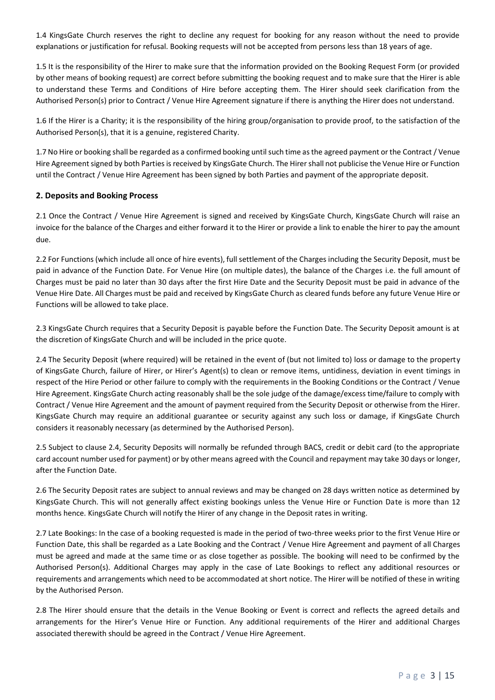1.4 KingsGate Church reserves the right to decline any request for booking for any reason without the need to provide explanations or justification for refusal. Booking requests will not be accepted from persons less than 18 years of age.

1.5 It is the responsibility of the Hirer to make sure that the information provided on the Booking Request Form (or provided by other means of booking request) are correct before submitting the booking request and to make sure that the Hirer is able to understand these Terms and Conditions of Hire before accepting them. The Hirer should seek clarification from the Authorised Person(s) prior to Contract / Venue Hire Agreement signature if there is anything the Hirer does not understand.

1.6 If the Hirer is a Charity; it is the responsibility of the hiring group/organisation to provide proof, to the satisfaction of the Authorised Person(s), that it is a genuine, registered Charity.

1.7 No Hire or booking shall be regarded as a confirmed booking until such time as the agreed payment or the Contract / Venue Hire Agreement signed by both Parties is received by KingsGate Church. The Hirer shall not publicise the Venue Hire or Function until the Contract / Venue Hire Agreement has been signed by both Parties and payment of the appropriate deposit.

## **2. Deposits and Booking Process**

2.1 Once the Contract / Venue Hire Agreement is signed and received by KingsGate Church, KingsGate Church will raise an invoice for the balance of the Charges and either forward it to the Hirer or provide a link to enable the hirer to pay the amount due.

2.2 For Functions (which include all once of hire events), full settlement of the Charges including the Security Deposit, must be paid in advance of the Function Date. For Venue Hire (on multiple dates), the balance of the Charges i.e. the full amount of Charges must be paid no later than 30 days after the first Hire Date and the Security Deposit must be paid in advance of the Venue Hire Date. All Charges must be paid and received by KingsGate Church as cleared funds before any future Venue Hire or Functions will be allowed to take place.

2.3 KingsGate Church requires that a Security Deposit is payable before the Function Date. The Security Deposit amount is at the discretion of KingsGate Church and will be included in the price quote.

2.4 The Security Deposit (where required) will be retained in the event of (but not limited to) loss or damage to the property of KingsGate Church, failure of Hirer, or Hirer's Agent(s) to clean or remove items, untidiness, deviation in event timings in respect of the Hire Period or other failure to comply with the requirements in the Booking Conditions or the Contract / Venue Hire Agreement. KingsGate Church acting reasonably shall be the sole judge of the damage/excess time/failure to comply with Contract / Venue Hire Agreement and the amount of payment required from the Security Deposit or otherwise from the Hirer. KingsGate Church may require an additional guarantee or security against any such loss or damage, if KingsGate Church considers it reasonably necessary (as determined by the Authorised Person).

2.5 Subject to clause 2.4, Security Deposits will normally be refunded through BACS, credit or debit card (to the appropriate card account number used for payment) or by other means agreed with the Council and repayment may take 30 days or longer, after the Function Date.

2.6 The Security Deposit rates are subject to annual reviews and may be changed on 28 days written notice as determined by KingsGate Church. This will not generally affect existing bookings unless the Venue Hire or Function Date is more than 12 months hence. KingsGate Church will notify the Hirer of any change in the Deposit rates in writing.

2.7 Late Bookings: In the case of a booking requested is made in the period of two-three weeks prior to the first Venue Hire or Function Date, this shall be regarded as a Late Booking and the Contract / Venue Hire Agreement and payment of all Charges must be agreed and made at the same time or as close together as possible. The booking will need to be confirmed by the Authorised Person(s). Additional Charges may apply in the case of Late Bookings to reflect any additional resources or requirements and arrangements which need to be accommodated at short notice. The Hirer will be notified of these in writing by the Authorised Person.

2.8 The Hirer should ensure that the details in the Venue Booking or Event is correct and reflects the agreed details and arrangements for the Hirer's Venue Hire or Function. Any additional requirements of the Hirer and additional Charges associated therewith should be agreed in the Contract / Venue Hire Agreement.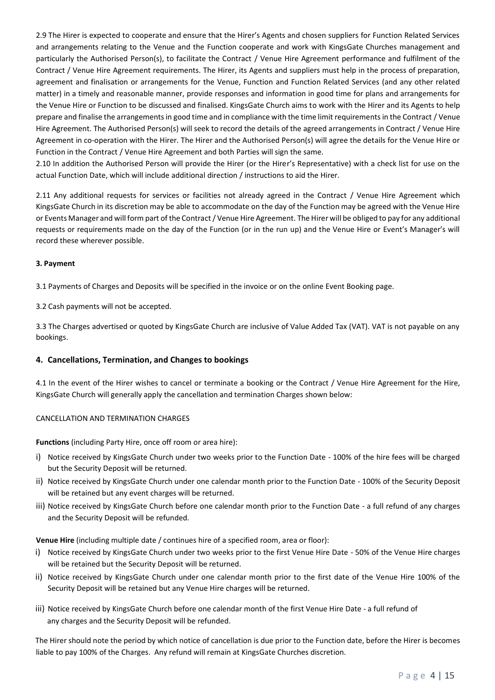2.9 The Hirer is expected to cooperate and ensure that the Hirer's Agents and chosen suppliers for Function Related Services and arrangements relating to the Venue and the Function cooperate and work with KingsGate Churches management and particularly the Authorised Person(s), to facilitate the Contract / Venue Hire Agreement performance and fulfilment of the Contract / Venue Hire Agreement requirements. The Hirer, its Agents and suppliers must help in the process of preparation, agreement and finalisation or arrangements for the Venue, Function and Function Related Services (and any other related matter) in a timely and reasonable manner, provide responses and information in good time for plans and arrangements for the Venue Hire or Function to be discussed and finalised. KingsGate Church aims to work with the Hirer and its Agents to help prepare and finalise the arrangements in good time and in compliance with the time limit requirements in the Contract / Venue Hire Agreement. The Authorised Person(s) will seek to record the details of the agreed arrangements in Contract / Venue Hire Agreement in co-operation with the Hirer. The Hirer and the Authorised Person(s) will agree the details for the Venue Hire or Function in the Contract / Venue Hire Agreement and both Parties will sign the same.

2.10 In addition the Authorised Person will provide the Hirer (or the Hirer's Representative) with a check list for use on the actual Function Date, which will include additional direction / instructions to aid the Hirer.

2.11 Any additional requests for services or facilities not already agreed in the Contract / Venue Hire Agreement which KingsGate Church in its discretion may be able to accommodate on the day of the Function may be agreed with the Venue Hire or Events Manager and will form part of the Contract/ Venue Hire Agreement. The Hirer will be obliged to pay for any additional requests or requirements made on the day of the Function (or in the run up) and the Venue Hire or Event's Manager's will record these wherever possible.

## **3. Payment**

3.1 Payments of Charges and Deposits will be specified in the invoice or on the online Event Booking page.

3.2 Cash payments will not be accepted.

3.3 The Charges advertised or quoted by KingsGate Church are inclusive of Value Added Tax (VAT). VAT is not payable on any bookings.

## **4. Cancellations, Termination, and Changes to bookings**

4.1 In the event of the Hirer wishes to cancel or terminate a booking or the Contract / Venue Hire Agreement for the Hire, KingsGate Church will generally apply the cancellation and termination Charges shown below:

## CANCELLATION AND TERMINATION CHARGES

**Functions** (including Party Hire, once off room or area hire):

- i) Notice received by KingsGate Church under two weeks prior to the Function Date 100% of the hire fees will be charged but the Security Deposit will be returned.
- ii) Notice received by KingsGate Church under one calendar month prior to the Function Date 100% of the Security Deposit will be retained but any event charges will be returned.
- iii) Notice received by KingsGate Church before one calendar month prior to the Function Date a full refund of any charges and the Security Deposit will be refunded.

**Venue Hire** (including multiple date / continues hire of a specified room, area or floor):

- i) Notice received by KingsGate Church under two weeks prior to the first Venue Hire Date 50% of the Venue Hire charges will be retained but the Security Deposit will be returned.
- ii) Notice received by KingsGate Church under one calendar month prior to the first date of the Venue Hire 100% of the Security Deposit will be retained but any Venue Hire charges will be returned.
- iii) Notice received by KingsGate Church before one calendar month of the first Venue Hire Date a full refund of any charges and the Security Deposit will be refunded.

The Hirer should note the period by which notice of cancellation is due prior to the Function date, before the Hirer is becomes liable to pay 100% of the Charges. Any refund will remain at KingsGate Churches discretion.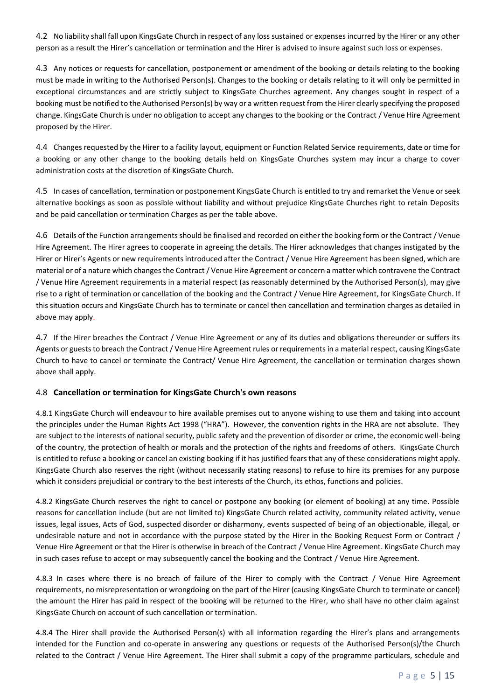4.2 No liability shall fall upon KingsGate Church in respect of any loss sustained or expenses incurred by the Hirer or any other person as a result the Hirer's cancellation or termination and the Hirer is advised to insure against such loss or expenses.

4.3 Any notices or requests for cancellation, postponement or amendment of the booking or details relating to the booking must be made in writing to the Authorised Person(s). Changes to the booking or details relating to it will only be permitted in exceptional circumstances and are strictly subject to KingsGate Churches agreement. Any changes sought in respect of a booking must be notified to the Authorised Person(s) by way or a written request from the Hirer clearly specifying the proposed change. KingsGate Church is under no obligation to accept any changes to the booking or the Contract / Venue Hire Agreement proposed by the Hirer.

4.4 Changes requested by the Hirer to a facility layout, equipment or Function Related Service requirements, date or time for a booking or any other change to the booking details held on KingsGate Churches system may incur a charge to cover administration costs at the discretion of KingsGate Church.

4.5 In cases of cancellation, termination or postponement KingsGate Church is entitled to try and remarket the Venue or seek alternative bookings as soon as possible without liability and without prejudice KingsGate Churches right to retain Deposits and be paid cancellation or termination Charges as per the table above.

4.6 Details of the Function arrangements should be finalised and recorded on either the booking form or the Contract / Venue Hire Agreement. The Hirer agrees to cooperate in agreeing the details. The Hirer acknowledges that changes instigated by the Hirer or Hirer's Agents or new requirements introduced after the Contract / Venue Hire Agreement has been signed, which are material or of a nature which changes the Contract / Venue Hire Agreement or concern a matter which contravene the Contract / Venue Hire Agreement requirements in a material respect (as reasonably determined by the Authorised Person(s), may give rise to a right of termination or cancellation of the booking and the Contract / Venue Hire Agreement, for KingsGate Church. If this situation occurs and KingsGate Church has to terminate or cancel then cancellation and termination charges as detailed in above may apply.

4.7 If the Hirer breaches the Contract / Venue Hire Agreement or any of its duties and obligations thereunder or suffers its Agents or guests to breach the Contract / Venue Hire Agreement rules or requirements in a material respect, causing KingsGate Church to have to cancel or terminate the Contract/ Venue Hire Agreement, the cancellation or termination charges shown above shall apply.

## 4.8 **Cancellation or termination for KingsGate Church's own reasons**

4.8.1 KingsGate Church will endeavour to hire available premises out to anyone wishing to use them and taking into account the principles under the Human Rights Act 1998 ("HRA"). However, the convention rights in the HRA are not absolute. They are subject to the interests of national security, public safety and the prevention of disorder or crime, the economic well-being of the country, the protection of health or morals and the protection of the rights and freedoms of others. KingsGate Church is entitled to refuse a booking or cancel an existing booking if it has justified fears that any of these considerations might apply. KingsGate Church also reserves the right (without necessarily stating reasons) to refuse to hire its premises for any purpose which it considers prejudicial or contrary to the best interests of the Church, its ethos, functions and policies.

4.8.2 KingsGate Church reserves the right to cancel or postpone any booking (or element of booking) at any time. Possible reasons for cancellation include (but are not limited to) KingsGate Church related activity, community related activity, venue issues, legal issues, Acts of God, suspected disorder or disharmony, events suspected of being of an objectionable, illegal, or undesirable nature and not in accordance with the purpose stated by the Hirer in the Booking Request Form or Contract / Venue Hire Agreement or that the Hirer is otherwise in breach of the Contract / Venue Hire Agreement. KingsGate Church may in such cases refuse to accept or may subsequently cancel the booking and the Contract / Venue Hire Agreement.

4.8.3 In cases where there is no breach of failure of the Hirer to comply with the Contract / Venue Hire Agreement requirements, no misrepresentation or wrongdoing on the part of the Hirer (causing KingsGate Church to terminate or cancel) the amount the Hirer has paid in respect of the booking will be returned to the Hirer, who shall have no other claim against KingsGate Church on account of such cancellation or termination.

4.8.4 The Hirer shall provide the Authorised Person(s) with all information regarding the Hirer's plans and arrangements intended for the Function and co-operate in answering any questions or requests of the Authorised Person(s)/the Church related to the Contract / Venue Hire Agreement. The Hirer shall submit a copy of the programme particulars, schedule and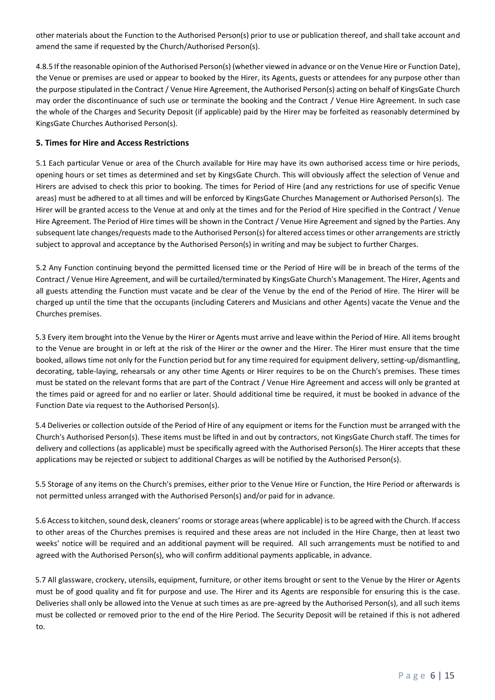other materials about the Function to the Authorised Person(s) prior to use or publication thereof, and shall take account and amend the same if requested by the Church/Authorised Person(s).

4.8.5 If the reasonable opinion of the Authorised Person(s) (whether viewed in advance or on the Venue Hire or Function Date), the Venue or premises are used or appear to booked by the Hirer, its Agents, guests or attendees for any purpose other than the purpose stipulated in the Contract / Venue Hire Agreement, the Authorised Person(s) acting on behalf of KingsGate Church may order the discontinuance of such use or terminate the booking and the Contract / Venue Hire Agreement. In such case the whole of the Charges and Security Deposit (if applicable) paid by the Hirer may be forfeited as reasonably determined by KingsGate Churches Authorised Person(s).

## **5. Times for Hire and Access Restrictions**

5.1 Each particular Venue or area of the Church available for Hire may have its own authorised access time or hire periods, opening hours or set times as determined and set by KingsGate Church. This will obviously affect the selection of Venue and Hirers are advised to check this prior to booking. The times for Period of Hire (and any restrictions for use of specific Venue areas) must be adhered to at all times and will be enforced by KingsGate Churches Management or Authorised Person(s). The Hirer will be granted access to the Venue at and only at the times and for the Period of Hire specified in the Contract / Venue Hire Agreement. The Period of Hire times will be shown in the Contract / Venue Hire Agreement and signed by the Parties. Any subsequent late changes/requests made to the Authorised Person(s) for altered access times or other arrangements are strictly subject to approval and acceptance by the Authorised Person(s) in writing and may be subject to further Charges.

5.2 Any Function continuing beyond the permitted licensed time or the Period of Hire will be in breach of the terms of the Contract/ Venue Hire Agreement, and will be curtailed/terminated by KingsGate Church's Management. The Hirer, Agents and all guests attending the Function must vacate and be clear of the Venue by the end of the Period of Hire. The Hirer will be charged up until the time that the occupants (including Caterers and Musicians and other Agents) vacate the Venue and the Churches premises.

5.3 Every item brought into the Venue by the Hirer or Agents must arrive and leave within the Period of Hire. All items brought to the Venue are brought in or left at the risk of the Hirer or the owner and the Hirer. The Hirer must ensure that the time booked, allows time not only for the Function period but for any time required for equipment delivery, setting-up/dismantling, decorating, table-laying, rehearsals or any other time Agents or Hirer requires to be on the Church's premises. These times must be stated on the relevant forms that are part of the Contract / Venue Hire Agreement and access will only be granted at the times paid or agreed for and no earlier or later. Should additional time be required, it must be booked in advance of the Function Date via request to the Authorised Person(s).

5.4 Deliveries or collection outside of the Period of Hire of any equipment or items for the Function must be arranged with the Church's Authorised Person(s). These items must be lifted in and out by contractors, not KingsGate Church staff. The times for delivery and collections (as applicable) must be specifically agreed with the Authorised Person(s). The Hirer accepts that these applications may be rejected or subject to additional Charges as will be notified by the Authorised Person(s).

5.5 Storage of any items on the Church's premises, either prior to the Venue Hire or Function, the Hire Period or afterwards is not permitted unless arranged with the Authorised Person(s) and/or paid for in advance.

5.6 Access to kitchen, sound desk, cleaners' rooms or storage areas (where applicable) is to be agreed with the Church. If access to other areas of the Churches premises is required and these areas are not included in the Hire Charge, then at least two weeks' notice will be required and an additional payment will be required. All such arrangements must be notified to and agreed with the Authorised Person(s), who will confirm additional payments applicable, in advance.

5.7 All glassware, crockery, utensils, equipment, furniture, or other items brought or sent to the Venue by the Hirer or Agents must be of good quality and fit for purpose and use. The Hirer and its Agents are responsible for ensuring this is the case. Deliveries shall only be allowed into the Venue at such times as are pre-agreed by the Authorised Person(s), and all such items must be collected or removed prior to the end of the Hire Period. The Security Deposit will be retained if this is not adhered to.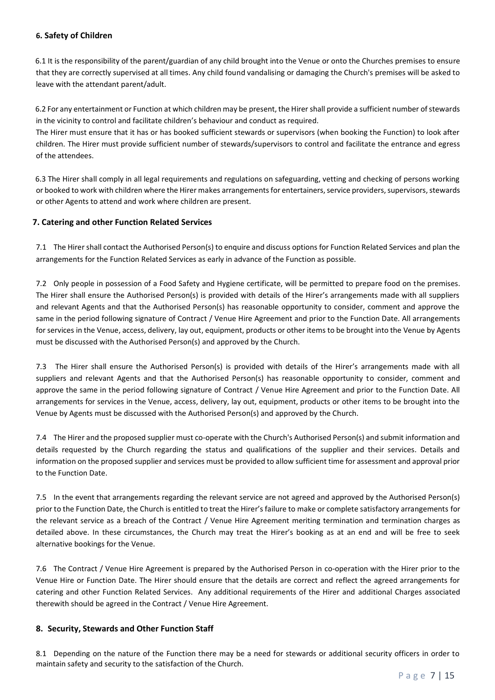# **6. Safety of Children**

6.1 It is the responsibility of the parent/guardian of any child brought into the Venue or onto the Churches premises to ensure that they are correctly supervised at all times. Any child found vandalising or damaging the Church's premises will be asked to leave with the attendant parent/adult.

6.2 For any entertainment or Function at which children may be present, the Hirer shall provide a sufficient number of stewards in the vicinity to control and facilitate children's behaviour and conduct as required.

The Hirer must ensure that it has or has booked sufficient stewards or supervisors (when booking the Function) to look after children. The Hirer must provide sufficient number of stewards/supervisors to control and facilitate the entrance and egress of the attendees.

6.3 The Hirer shall comply in all legal requirements and regulations on safeguarding, vetting and checking of persons working or booked to work with children where the Hirer makes arrangements for entertainers, service providers, supervisors, stewards or other Agents to attend and work where children are present.

## **7. Catering and other Function Related Services**

7.1 The Hirer shall contact the Authorised Person(s) to enquire and discuss options for Function Related Services and plan the arrangements for the Function Related Services as early in advance of the Function as possible.

7.2 Only people in possession of a Food Safety and Hygiene certificate, will be permitted to prepare food on the premises. The Hirer shall ensure the Authorised Person(s) is provided with details of the Hirer's arrangements made with all suppliers and relevant Agents and that the Authorised Person(s) has reasonable opportunity to consider, comment and approve the same in the period following signature of Contract / Venue Hire Agreement and prior to the Function Date. All arrangements for services in the Venue, access, delivery, lay out, equipment, products or other items to be brought into the Venue by Agents must be discussed with the Authorised Person(s) and approved by the Church.

7.3 The Hirer shall ensure the Authorised Person(s) is provided with details of the Hirer's arrangements made with all suppliers and relevant Agents and that the Authorised Person(s) has reasonable opportunity to consider, comment and approve the same in the period following signature of Contract / Venue Hire Agreement and prior to the Function Date. All arrangements for services in the Venue, access, delivery, lay out, equipment, products or other items to be brought into the Venue by Agents must be discussed with the Authorised Person(s) and approved by the Church.

7.4 The Hirer and the proposed supplier must co-operate with the Church's Authorised Person(s) and submit information and details requested by the Church regarding the status and qualifications of the supplier and their services. Details and information on the proposed supplier and services must be provided to allow sufficient time for assessment and approval prior to the Function Date.

7.5 In the event that arrangements regarding the relevant service are not agreed and approved by the Authorised Person(s) prior to the Function Date, the Church is entitled to treat the Hirer's failure to make or complete satisfactory arrangements for the relevant service as a breach of the Contract / Venue Hire Agreement meriting termination and termination charges as detailed above. In these circumstances, the Church may treat the Hirer's booking as at an end and will be free to seek alternative bookings for the Venue.

7.6 The Contract / Venue Hire Agreement is prepared by the Authorised Person in co-operation with the Hirer prior to the Venue Hire or Function Date. The Hirer should ensure that the details are correct and reflect the agreed arrangements for catering and other Function Related Services. Any additional requirements of the Hirer and additional Charges associated therewith should be agreed in the Contract / Venue Hire Agreement.

## **8. Security, Stewards and Other Function Staff**

8.1 Depending on the nature of the Function there may be a need for stewards or additional security officers in order to maintain safety and security to the satisfaction of the Church.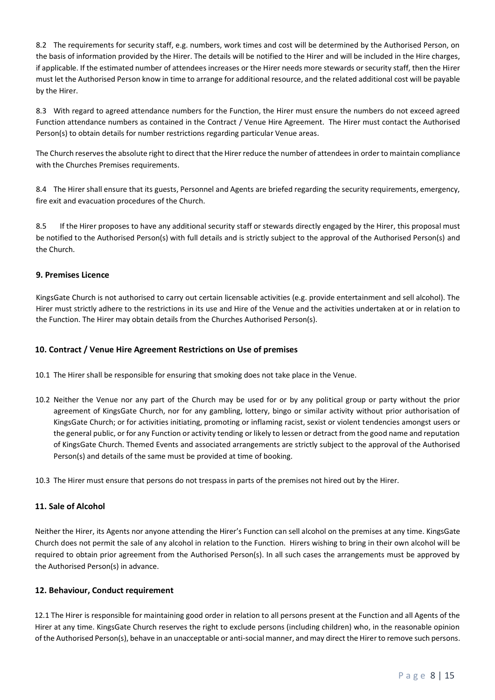8.2 The requirements for security staff, e.g. numbers, work times and cost will be determined by the Authorised Person, on the basis of information provided by the Hirer. The details will be notified to the Hirer and will be included in the Hire charges, if applicable. If the estimated number of attendees increases or the Hirer needs more stewards or security staff, then the Hirer must let the Authorised Person know in time to arrange for additional resource, and the related additional cost will be payable by the Hirer.

8.3 With regard to agreed attendance numbers for the Function, the Hirer must ensure the numbers do not exceed agreed Function attendance numbers as contained in the Contract / Venue Hire Agreement. The Hirer must contact the Authorised Person(s) to obtain details for number restrictions regarding particular Venue areas.

The Church reserves the absolute right to direct that the Hirer reduce the number of attendees in order to maintain compliance with the Churches Premises requirements.

8.4 The Hirer shall ensure that its guests, Personnel and Agents are briefed regarding the security requirements, emergency, fire exit and evacuation procedures of the Church.

8.5 If the Hirer proposes to have any additional security staff or stewards directly engaged by the Hirer, this proposal must be notified to the Authorised Person(s) with full details and is strictly subject to the approval of the Authorised Person(s) and the Church.

## **9. Premises Licence**

KingsGate Church is not authorised to carry out certain licensable activities (e.g. provide entertainment and sell alcohol). The Hirer must strictly adhere to the restrictions in its use and Hire of the Venue and the activities undertaken at or in relation to the Function. The Hirer may obtain details from the Churches Authorised Person(s).

# **10. Contract / Venue Hire Agreement Restrictions on Use of premises**

- 10.1 The Hirer shall be responsible for ensuring that smoking does not take place in the Venue.
- 10.2 Neither the Venue nor any part of the Church may be used for or by any political group or party without the prior agreement of KingsGate Church, nor for any gambling, lottery, bingo or similar activity without prior authorisation of KingsGate Church; or for activities initiating, promoting or inflaming racist, sexist or violent tendencies amongst users or the general public, or for any Function or activity tending or likely to lessen or detract from the good name and reputation of KingsGate Church. Themed Events and associated arrangements are strictly subject to the approval of the Authorised Person(s) and details of the same must be provided at time of booking.

10.3 The Hirer must ensure that persons do not trespass in parts of the premises not hired out by the Hirer.

## **11. Sale of Alcohol**

Neither the Hirer, its Agents nor anyone attending the Hirer's Function can sell alcohol on the premises at any time. KingsGate Church does not permit the sale of any alcohol in relation to the Function. Hirers wishing to bring in their own alcohol will be required to obtain prior agreement from the Authorised Person(s). In all such cases the arrangements must be approved by the Authorised Person(s) in advance.

## **12. Behaviour, Conduct requirement**

12.1 The Hirer is responsible for maintaining good order in relation to all persons present at the Function and all Agents of the Hirer at any time. KingsGate Church reserves the right to exclude persons (including children) who, in the reasonable opinion of the Authorised Person(s), behave in an unacceptable or anti-social manner, and may direct the Hirer to remove such persons.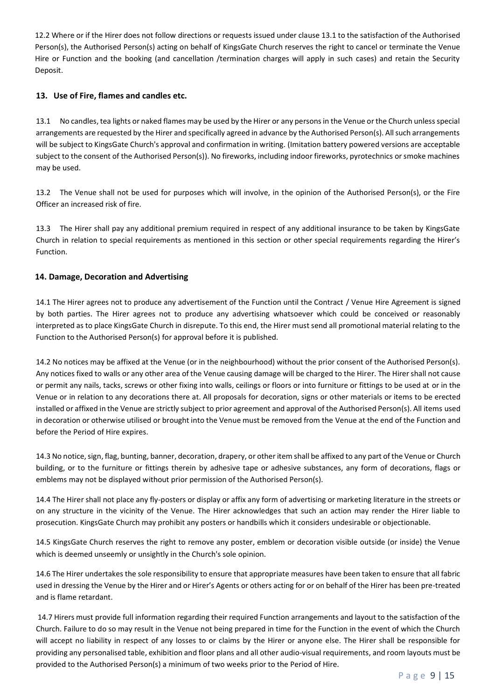12.2 Where or if the Hirer does not follow directions or requests issued under clause 13.1 to the satisfaction of the Authorised Person(s), the Authorised Person(s) acting on behalf of KingsGate Church reserves the right to cancel or terminate the Venue Hire or Function and the booking (and cancellation /termination charges will apply in such cases) and retain the Security Deposit.

# **13. Use of Fire, flames and candles etc.**

13.1 No candles, tea lights or naked flames may be used by the Hirer or any persons in the Venue or the Church unless special arrangements are requested by the Hirer and specifically agreed in advance by the Authorised Person(s). All such arrangements will be subject to KingsGate Church's approval and confirmation in writing. (Imitation battery powered versions are acceptable subject to the consent of the Authorised Person(s)). No fireworks, including indoor fireworks, pyrotechnics or smoke machines may be used.

13.2 The Venue shall not be used for purposes which will involve, in the opinion of the Authorised Person(s), or the Fire Officer an increased risk of fire.

13.3 The Hirer shall pay any additional premium required in respect of any additional insurance to be taken by KingsGate Church in relation to special requirements as mentioned in this section or other special requirements regarding the Hirer's Function.

## **14. Damage, Decoration and Advertising**

14.1 The Hirer agrees not to produce any advertisement of the Function until the Contract / Venue Hire Agreement is signed by both parties. The Hirer agrees not to produce any advertising whatsoever which could be conceived or reasonably interpreted as to place KingsGate Church in disrepute. To this end, the Hirer must send all promotional material relating to the Function to the Authorised Person(s) for approval before it is published.

14.2 No notices may be affixed at the Venue (or in the neighbourhood) without the prior consent of the Authorised Person(s). Any notices fixed to walls or any other area of the Venue causing damage will be charged to the Hirer. The Hirer shall not cause or permit any nails, tacks, screws or other fixing into walls, ceilings or floors or into furniture or fittings to be used at or in the Venue or in relation to any decorations there at. All proposals for decoration, signs or other materials or items to be erected installed or affixed in the Venue are strictly subject to prior agreement and approval of the Authorised Person(s). All items used in decoration or otherwise utilised or brought into the Venue must be removed from the Venue at the end of the Function and before the Period of Hire expires.

14.3 No notice, sign, flag, bunting, banner, decoration, drapery, or other item shall be affixed to any part of the Venue or Church building, or to the furniture or fittings therein by adhesive tape or adhesive substances, any form of decorations, flags or emblems may not be displayed without prior permission of the Authorised Person(s).

14.4 The Hirer shall not place any fly-posters or display or affix any form of advertising or marketing literature in the streets or on any structure in the vicinity of the Venue. The Hirer acknowledges that such an action may render the Hirer liable to prosecution. KingsGate Church may prohibit any posters or handbills which it considers undesirable or objectionable.

14.5 KingsGate Church reserves the right to remove any poster, emblem or decoration visible outside (or inside) the Venue which is deemed unseemly or unsightly in the Church's sole opinion.

14.6 The Hirer undertakes the sole responsibility to ensure that appropriate measures have been taken to ensure that all fabric used in dressing the Venue by the Hirer and or Hirer's Agents or others acting for or on behalf of the Hirer has been pre-treated and is flame retardant.

14.7 Hirers must provide full information regarding their required Function arrangements and layout to the satisfaction of the Church. Failure to do so may result in the Venue not being prepared in time for the Function in the event of which the Church will accept no liability in respect of any losses to or claims by the Hirer or anyone else. The Hirer shall be responsible for providing any personalised table, exhibition and floor plans and all other audio-visual requirements, and room layouts must be provided to the Authorised Person(s) a minimum of two weeks prior to the Period of Hire.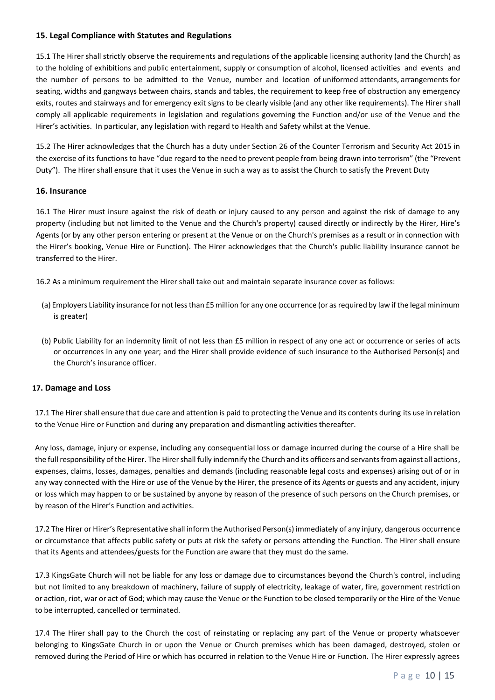## **15. Legal Compliance with Statutes and Regulations**

15.1 The Hirer shall strictly observe the requirements and regulations of the applicable licensing authority (and the Church) as to the holding of exhibitions and public entertainment, supply or consumption of alcohol, licensed activities and events and the number of persons to be admitted to the Venue, number and location of uniformed attendants, arrangements for seating, widths and gangways between chairs, stands and tables, the requirement to keep free of obstruction any emergency exits, routes and stairways and for emergency exit signs to be clearly visible (and any other like requirements). The Hirer shall comply all applicable requirements in legislation and regulations governing the Function and/or use of the Venue and the Hirer's activities. In particular, any legislation with regard to Health and Safety whilst at the Venue.

15.2 The Hirer acknowledges that the Church has a duty under Section 26 of the Counter Terrorism and Security Act 2015 in the exercise of its functions to have "due regard to the need to prevent people from being drawn into terrorism" (the "Prevent Duty"). The Hirer shall ensure that it uses the Venue in such a way as to assist the Church to satisfy the Prevent Duty

## **16. Insurance**

16.1 The Hirer must insure against the risk of death or injury caused to any person and against the risk of damage to any property (including but not limited to the Venue and the Church's property) caused directly or indirectly by the Hirer, Hire's Agents (or by any other person entering or present at the Venue or on the Church's premises as a result or in connection with the Hirer's booking, Venue Hire or Function). The Hirer acknowledges that the Church's public liability insurance cannot be transferred to the Hirer.

16.2 As a minimum requirement the Hirer shall take out and maintain separate insurance cover as follows:

- (a) Employers Liability insurance for not less than £5 million for any one occurrence (or as required by law if the legal minimum is greater)
- (b) Public Liability for an indemnity limit of not less than £5 million in respect of any one act or occurrence or series of acts or occurrences in any one year; and the Hirer shall provide evidence of such insurance to the Authorised Person(s) and the Church's insurance officer.

#### **17. Damage and Loss**

17.1 The Hirer shall ensure that due care and attention is paid to protecting the Venue and its contents during its use in relation to the Venue Hire or Function and during any preparation and dismantling activities thereafter.

Any loss, damage, injury or expense, including any consequential loss or damage incurred during the course of a Hire shall be the full responsibility of the Hirer. The Hirer shall fully indemnify the Church and its officers and servants from against all actions, expenses, claims, losses, damages, penalties and demands (including reasonable legal costs and expenses) arising out of or in any way connected with the Hire or use of the Venue by the Hirer, the presence of its Agents or guests and any accident, injury or loss which may happen to or be sustained by anyone by reason of the presence of such persons on the Church premises, or by reason of the Hirer's Function and activities.

17.2 The Hirer or Hirer's Representative shall inform the Authorised Person(s) immediately of any injury, dangerous occurrence or circumstance that affects public safety or puts at risk the safety or persons attending the Function. The Hirer shall ensure that its Agents and attendees/guests for the Function are aware that they must do the same.

17.3 KingsGate Church will not be liable for any loss or damage due to circumstances beyond the Church's control, including but not limited to any breakdown of machinery, failure of supply of electricity, leakage of water, fire, government restriction or action, riot, war or act of God; which may cause the Venue or the Function to be closed temporarily or the Hire of the Venue to be interrupted, cancelled or terminated.

17.4 The Hirer shall pay to the Church the cost of reinstating or replacing any part of the Venue or property whatsoever belonging to KingsGate Church in or upon the Venue or Church premises which has been damaged, destroyed, stolen or removed during the Period of Hire or which has occurred in relation to the Venue Hire or Function. The Hirer expressly agrees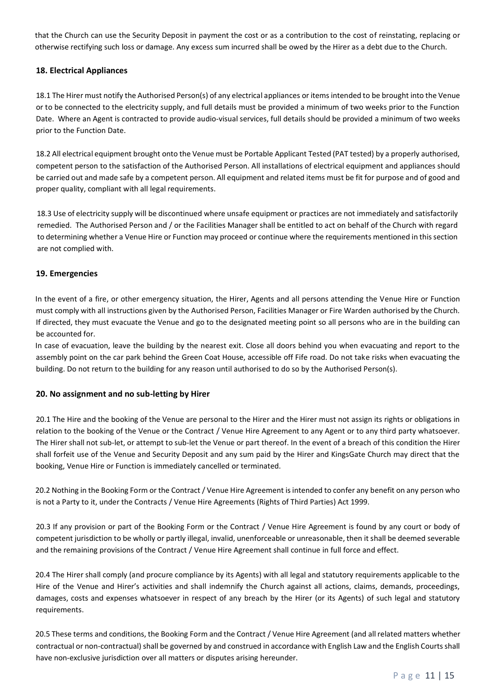that the Church can use the Security Deposit in payment the cost or as a contribution to the cost of reinstating, replacing or otherwise rectifying such loss or damage. Any excess sum incurred shall be owed by the Hirer as a debt due to the Church.

# **18. Electrical Appliances**

18.1 The Hirer must notify the Authorised Person(s) of any electrical appliances or items intended to be brought into the Venue or to be connected to the electricity supply, and full details must be provided a minimum of two weeks prior to the Function Date. Where an Agent is contracted to provide audio-visual services, full details should be provided a minimum of two weeks prior to the Function Date.

18.2 All electrical equipment brought onto the Venue must be Portable Applicant Tested (PAT tested) by a properly authorised, competent person to the satisfaction of the Authorised Person. All installations of electrical equipment and appliances should be carried out and made safe by a competent person. All equipment and related items must be fit for purpose and of good and proper quality, compliant with all legal requirements.

18.3 Use of electricity supply will be discontinued where unsafe equipment or practices are not immediately and satisfactorily remedied. The Authorised Person and / or the Facilities Manager shall be entitled to act on behalf of the Church with regard to determining whether a Venue Hire or Function may proceed or continue where the requirements mentioned in this section are not complied with.

## **19. Emergencies**

In the event of a fire, or other emergency situation, the Hirer, Agents and all persons attending the Venue Hire or Function must comply with all instructions given by the Authorised Person, Facilities Manager or Fire Warden authorised by the Church. If directed, they must evacuate the Venue and go to the designated meeting point so all persons who are in the building can be accounted for.

In case of evacuation, leave the building by the nearest exit. Close all doors behind you when evacuating and report to the assembly point on the car park behind the Green Coat House, accessible off Fife road. Do not take risks when evacuating the building. Do not return to the building for any reason until authorised to do so by the Authorised Person(s).

## **20. No assignment and no sub-letting by Hirer**

20.1 The Hire and the booking of the Venue are personal to the Hirer and the Hirer must not assign its rights or obligations in relation to the booking of the Venue or the Contract / Venue Hire Agreement to any Agent or to any third party whatsoever. The Hirer shall not sub-let, or attempt to sub-let the Venue or part thereof. In the event of a breach of this condition the Hirer shall forfeit use of the Venue and Security Deposit and any sum paid by the Hirer and KingsGate Church may direct that the booking, Venue Hire or Function is immediately cancelled or terminated.

20.2 Nothing in the Booking Form or the Contract / Venue Hire Agreement is intended to confer any benefit on any person who is not a Party to it, under the Contracts / Venue Hire Agreements (Rights of Third Parties) Act 1999.

20.3 If any provision or part of the Booking Form or the Contract / Venue Hire Agreement is found by any court or body of competent jurisdiction to be wholly or partly illegal, invalid, unenforceable or unreasonable, then it shall be deemed severable and the remaining provisions of the Contract / Venue Hire Agreement shall continue in full force and effect.

20.4 The Hirer shall comply (and procure compliance by its Agents) with all legal and statutory requirements applicable to the Hire of the Venue and Hirer's activities and shall indemnify the Church against all actions, claims, demands, proceedings, damages, costs and expenses whatsoever in respect of any breach by the Hirer (or its Agents) of such legal and statutory requirements.

20.5 These terms and conditions, the Booking Form and the Contract / Venue Hire Agreement (and all related matters whether contractual or non-contractual) shall be governed by and construed in accordance with English Law and the English Courts shall have non-exclusive jurisdiction over all matters or disputes arising hereunder.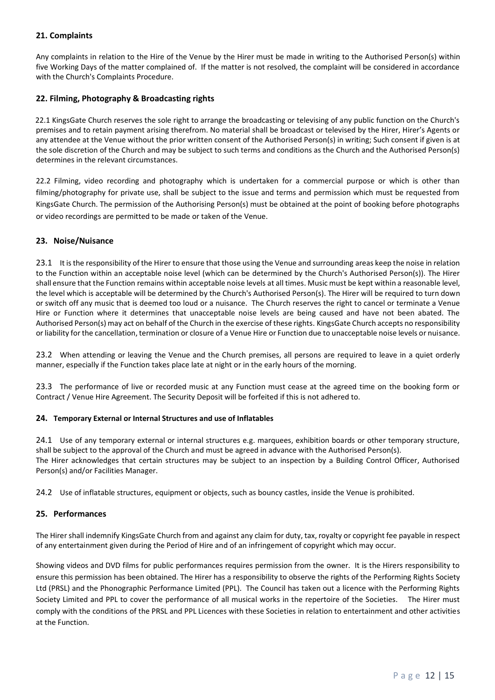## **21. Complaints**

Any complaints in relation to the Hire of the Venue by the Hirer must be made in writing to the Authorised Person(s) within five Working Days of the matter complained of. If the matter is not resolved, the complaint will be considered in accordance with the Church's Complaints Procedure.

# **22. Filming, Photography & Broadcasting rights**

22.1 KingsGate Church reserves the sole right to arrange the broadcasting or televising of any public function on the Church's premises and to retain payment arising therefrom. No material shall be broadcast or televised by the Hirer, Hirer's Agents or any attendee at the Venue without the prior written consent of the Authorised Person(s) in writing; Such consent if given is at the sole discretion of the Church and may be subject to such terms and conditions as the Church and the Authorised Person(s) determines in the relevant circumstances.

22.2 Filming, video recording and photography which is undertaken for a commercial purpose or which is other than filming/photography for private use, shall be subject to the issue and terms and permission which must be requested from KingsGate Church. The permission of the Authorising Person(s) must be obtained at the point of booking before photographs or video recordings are permitted to be made or taken of the Venue.

## **23. Noise/Nuisance**

23.1 It is the responsibility of the Hirer to ensure that those using the Venue and surrounding areas keep the noise in relation to the Function within an acceptable noise level (which can be determined by the Church's Authorised Person(s)). The Hirer shall ensure that the Function remains within acceptable noise levels at all times. Music must be kept within a reasonable level, the level which is acceptable will be determined by the Church's Authorised Person(s). The Hirer will be required to turn down or switch off any music that is deemed too loud or a nuisance. The Church reserves the right to cancel or terminate a Venue Hire or Function where it determines that unacceptable noise levels are being caused and have not been abated. The Authorised Person(s) may act on behalf of the Church in the exercise of these rights. KingsGate Church accepts no responsibility or liability for the cancellation, termination or closure of a Venue Hire or Function due to unacceptable noise levels or nuisance.

23.2 When attending or leaving the Venue and the Church premises, all persons are required to leave in a quiet orderly manner, especially if the Function takes place late at night or in the early hours of the morning.

23.3 The performance of live or recorded music at any Function must cease at the agreed time on the booking form or Contract / Venue Hire Agreement. The Security Deposit will be forfeited if this is not adhered to.

## **24. Temporary External or Internal Structures and use of Inflatables**

24.1 Use of any temporary external or internal structures e.g. marquees, exhibition boards or other temporary structure, shall be subject to the approval of the Church and must be agreed in advance with the Authorised Person(s). The Hirer acknowledges that certain structures may be subject to an inspection by a Building Control Officer, Authorised Person(s) and/or Facilities Manager.

24.2 Use of inflatable structures, equipment or objects, such as bouncy castles, inside the Venue is prohibited.

## **25. Performances**

The Hirer shall indemnify KingsGate Church from and against any claim for duty, tax, royalty or copyright fee payable in respect of any entertainment given during the Period of Hire and of an infringement of copyright which may occur.

Showing videos and DVD films for public performances requires permission from the owner. It is the Hirers responsibility to ensure this permission has been obtained. The Hirer has a responsibility to observe the rights of the Performing Rights Society Ltd (PRSL) and the Phonographic Performance Limited (PPL). The Council has taken out a licence with the Performing Rights Society Limited and PPL to cover the performance of all musical works in the repertoire of the Societies. The Hirer must comply with the conditions of the PRSL and PPL Licences with these Societies in relation to entertainment and other activities at the Function.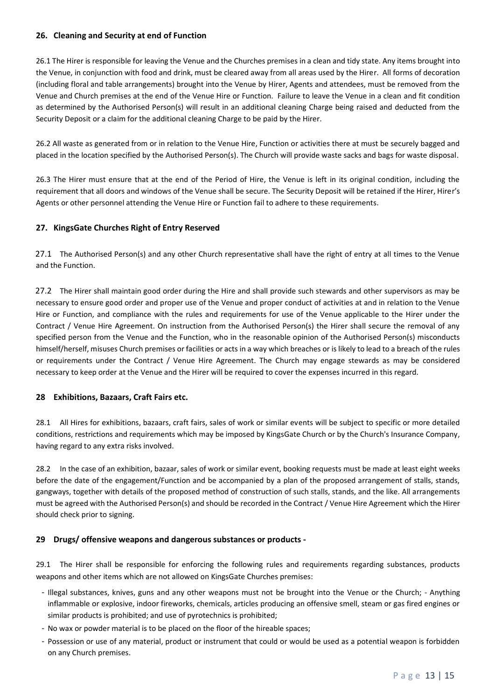## **26. Cleaning and Security at end of Function**

26.1 The Hirer is responsible for leaving the Venue and the Churches premises in a clean and tidy state. Any items brought into the Venue, in conjunction with food and drink, must be cleared away from all areas used by the Hirer. All forms of decoration (including floral and table arrangements) brought into the Venue by Hirer, Agents and attendees, must be removed from the Venue and Church premises at the end of the Venue Hire or Function. Failure to leave the Venue in a clean and fit condition as determined by the Authorised Person(s) will result in an additional cleaning Charge being raised and deducted from the Security Deposit or a claim for the additional cleaning Charge to be paid by the Hirer.

26.2 All waste as generated from or in relation to the Venue Hire, Function or activities there at must be securely bagged and placed in the location specified by the Authorised Person(s). The Church will provide waste sacks and bags for waste disposal.

26.3 The Hirer must ensure that at the end of the Period of Hire, the Venue is left in its original condition, including the requirement that all doors and windows of the Venue shall be secure. The Security Deposit will be retained if the Hirer, Hirer's Agents or other personnel attending the Venue Hire or Function fail to adhere to these requirements.

## **27. KingsGate Churches Right of Entry Reserved**

27.1 The Authorised Person(s) and any other Church representative shall have the right of entry at all times to the Venue and the Function.

27.2 The Hirer shall maintain good order during the Hire and shall provide such stewards and other supervisors as may be necessary to ensure good order and proper use of the Venue and proper conduct of activities at and in relation to the Venue Hire or Function, and compliance with the rules and requirements for use of the Venue applicable to the Hirer under the Contract / Venue Hire Agreement. On instruction from the Authorised Person(s) the Hirer shall secure the removal of any specified person from the Venue and the Function, who in the reasonable opinion of the Authorised Person(s) misconducts himself/herself, misuses Church premises or facilities or acts in a way which breaches or is likely to lead to a breach of the rules or requirements under the Contract / Venue Hire Agreement. The Church may engage stewards as may be considered necessary to keep order at the Venue and the Hirer will be required to cover the expenses incurred in this regard.

#### **28 Exhibitions, Bazaars, Craft Fairs etc.**

28.1 All Hires for exhibitions, bazaars, craft fairs, sales of work or similar events will be subject to specific or more detailed conditions, restrictions and requirements which may be imposed by KingsGate Church or by the Church's Insurance Company, having regard to any extra risks involved.

28.2 In the case of an exhibition, bazaar, sales of work or similar event, booking requests must be made at least eight weeks before the date of the engagement/Function and be accompanied by a plan of the proposed arrangement of stalls, stands, gangways, together with details of the proposed method of construction of such stalls, stands, and the like. All arrangements must be agreed with the Authorised Person(s) and should be recorded in the Contract / Venue Hire Agreement which the Hirer should check prior to signing.

## **29 Drugs/ offensive weapons and dangerous substances or products -**

29.1 The Hirer shall be responsible for enforcing the following rules and requirements regarding substances, products weapons and other items which are not allowed on KingsGate Churches premises:

- Illegal substances, knives, guns and any other weapons must not be brought into the Venue or the Church; Anything inflammable or explosive, indoor fireworks, chemicals, articles producing an offensive smell, steam or gas fired engines or similar products is prohibited; and use of pyrotechnics is prohibited;
- No wax or powder material is to be placed on the floor of the hireable spaces;
- Possession or use of any material, product or instrument that could or would be used as a potential weapon is forbidden on any Church premises.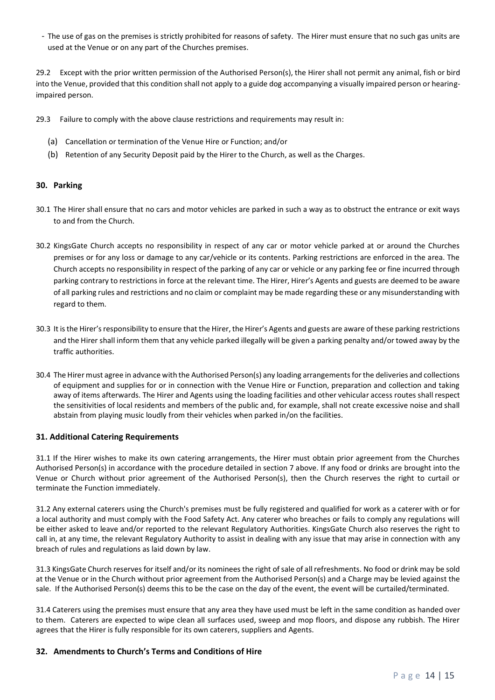- The use of gas on the premises is strictly prohibited for reasons of safety. The Hirer must ensure that no such gas units are used at the Venue or on any part of the Churches premises.

29.2 Except with the prior written permission of the Authorised Person(s), the Hirer shall not permit any animal, fish or bird into the Venue, provided that this condition shall not apply to a guide dog accompanying a visually impaired person or hearingimpaired person.

- 29.3 Failure to comply with the above clause restrictions and requirements may result in:
	- (a) Cancellation or termination of the Venue Hire or Function; and/or
	- (b) Retention of any Security Deposit paid by the Hirer to the Church, as well as the Charges.

## **30. Parking**

- 30.1 The Hirer shall ensure that no cars and motor vehicles are parked in such a way as to obstruct the entrance or exit ways to and from the Church.
- 30.2 KingsGate Church accepts no responsibility in respect of any car or motor vehicle parked at or around the Churches premises or for any loss or damage to any car/vehicle or its contents. Parking restrictions are enforced in the area. The Church accepts no responsibility in respect of the parking of any car or vehicle or any parking fee or fine incurred through parking contrary to restrictions in force at the relevant time. The Hirer, Hirer's Agents and guests are deemed to be aware of all parking rules and restrictions and no claim or complaint may be made regarding these or any misunderstanding with regard to them.
- 30.3 It is the Hirer's responsibility to ensure that the Hirer, the Hirer's Agents and guests are aware of these parking restrictions and the Hirer shall inform them that any vehicle parked illegally will be given a parking penalty and/or towed away by the traffic authorities.
- 30.4 The Hirer must agree in advance with the Authorised Person(s) any loading arrangements for the deliveries and collections of equipment and supplies for or in connection with the Venue Hire or Function, preparation and collection and taking away of items afterwards. The Hirer and Agents using the loading facilities and other vehicular access routes shall respect the sensitivities of local residents and members of the public and, for example, shall not create excessive noise and shall abstain from playing music loudly from their vehicles when parked in/on the facilities.

#### **31. Additional Catering Requirements**

31.1 If the Hirer wishes to make its own catering arrangements, the Hirer must obtain prior agreement from the Churches Authorised Person(s) in accordance with the procedure detailed in section 7 above. If any food or drinks are brought into the Venue or Church without prior agreement of the Authorised Person(s), then the Church reserves the right to curtail or terminate the Function immediately.

31.2 Any external caterers using the Church's premises must be fully registered and qualified for work as a caterer with or for a local authority and must comply with the Food Safety Act. Any caterer who breaches or fails to comply any regulations will be either asked to leave and/or reported to the relevant Regulatory Authorities. KingsGate Church also reserves the right to call in, at any time, the relevant Regulatory Authority to assist in dealing with any issue that may arise in connection with any breach of rules and regulations as laid down by law.

31.3 KingsGate Church reserves for itself and/or its nominees the right of sale of all refreshments. No food or drink may be sold at the Venue or in the Church without prior agreement from the Authorised Person(s) and a Charge may be levied against the sale. If the Authorised Person(s) deems this to be the case on the day of the event, the event will be curtailed/terminated.

31.4 Caterers using the premises must ensure that any area they have used must be left in the same condition as handed over to them. Caterers are expected to wipe clean all surfaces used, sweep and mop floors, and dispose any rubbish. The Hirer agrees that the Hirer is fully responsible for its own caterers, suppliers and Agents.

#### **32. Amendments to Church's Terms and Conditions of Hire**